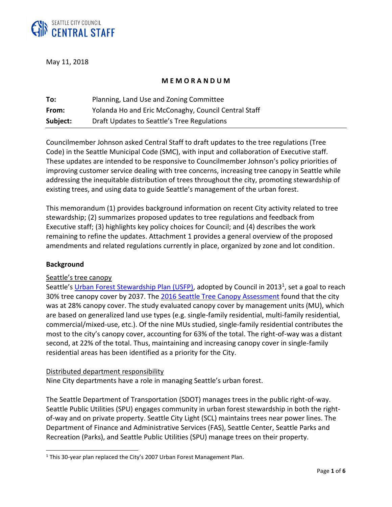

May 11, 2018

## **M E M O R A N D U M**

| To:      | Planning, Land Use and Zoning Committee              |  |  |
|----------|------------------------------------------------------|--|--|
| From:    | Yolanda Ho and Eric McConaghy, Council Central Staff |  |  |
| Subject: | Draft Updates to Seattle's Tree Regulations          |  |  |

Councilmember Johnson asked Central Staff to draft updates to the tree regulations (Tree Code) in the Seattle Municipal Code (SMC), with input and collaboration of Executive staff. These updates are intended to be responsive to Councilmember Johnson's policy priorities of improving customer service dealing with tree concerns, increasing tree canopy in Seattle while addressing the inequitable distribution of trees throughout the city, promoting stewardship of existing trees, and using data to guide Seattle's management of the urban forest.

This memorandum (1) provides background information on recent City activity related to tree stewardship; (2) summarizes proposed updates to tree regulations and feedback from Executive staff; (3) highlights key policy choices for Council; and (4) describes the work remaining to refine the updates. Attachment 1 provides a general overview of the proposed amendments and related regulations currently in place, organized by zone and lot condition.

### **Background**

 $\overline{\phantom{a}}$ 

### Seattle's tree canopy

Seattle's [Urban Forest Stewardship Plan \(USFP\),](https://www.seattle.gov/environment/sustainable-communities/urban-forestry/urban-forest-stewardship-plan) adopted by Council in 2013<sup>1</sup>, set a goal to reach 30% tree canopy cover by 2037. The [2016 Seattle Tree Canopy Assessment](http://www.seattle.gov/trees/canopycover.htm) found that the city was at 28% canopy cover. The study evaluated canopy cover by management units (MU), which are based on generalized land use types (e.g. single-family residential, multi-family residential, commercial/mixed-use, etc.). Of the nine MUs studied, single-family residential contributes the most to the city's canopy cover, accounting for 63% of the total. The right-of-way was a distant second, at 22% of the total. Thus, maintaining and increasing canopy cover in single-family residential areas has been identified as a priority for the City.

### Distributed department responsibility

Nine City departments have a role in managing Seattle's urban forest.

The Seattle Department of Transportation (SDOT) manages trees in the public right-of-way. Seattle Public Utilities (SPU) engages community in urban forest stewardship in both the rightof-way and on private property. Seattle City Light (SCL) maintains trees near power lines. The Department of Finance and Administrative Services (FAS), Seattle Center, Seattle Parks and Recreation (Parks), and Seattle Public Utilities (SPU) manage trees on their property.

<sup>&</sup>lt;sup>1</sup> This 30-year plan replaced the City's 2007 Urban Forest Management Plan.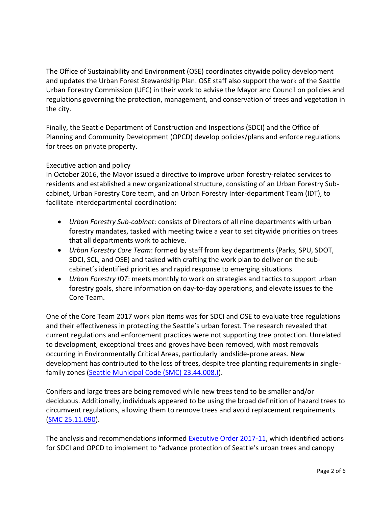The Office of Sustainability and Environment (OSE) coordinates citywide policy development and updates the Urban Forest Stewardship Plan. OSE staff also support the work of the Seattle Urban Forestry Commission (UFC) in their work to advise the Mayor and Council on policies and regulations governing the protection, management, and conservation of trees and vegetation in the city.

Finally, the Seattle Department of Construction and Inspections (SDCI) and the Office of Planning and Community Development (OPCD) develop policies/plans and enforce regulations for trees on private property.

# Executive action and policy

In October 2016, the Mayor issued a directive to improve urban forestry-related services to residents and established a new organizational structure, consisting of an Urban Forestry Subcabinet, Urban Forestry Core team, and an Urban Forestry Inter-department Team (IDT), to facilitate interdepartmental coordination:

- *Urban Forestry Sub-cabinet*: consists of Directors of all nine departments with urban forestry mandates, tasked with meeting twice a year to set citywide priorities on trees that all departments work to achieve.
- *Urban Forestry Core Team*: formed by staff from key departments (Parks, SPU, SDOT, SDCI, SCL, and OSE) and tasked with crafting the work plan to deliver on the subcabinet's identified priorities and rapid response to emerging situations.
- *Urban Forestry IDT*: meets monthly to work on strategies and tactics to support urban forestry goals, share information on day-to-day operations, and elevate issues to the Core Team.

One of the Core Team 2017 work plan items was for SDCI and OSE to evaluate tree regulations and their effectiveness in protecting the Seattle's urban forest. The research revealed that current regulations and enforcement practices were not supporting tree protection. Unrelated to development, exceptional trees and groves have been removed, with most removals occurring in Environmentally Critical Areas, particularly landslide-prone areas. New development has contributed to the loss of trees, despite tree planting requirements in singlefamily zones [\(Seattle Municipal Code \(SMC\) 23.44.008.I\)](https://library.municode.com/wa/seattle/codes/municipal_code?nodeId=TIT23LAUSCO_SUBTITLE_IIILAUSRE_CH23.44RESIMI_SUBCHAPTER_IPRUSPEOU_23.44.008DESTUSPEOU).

Conifers and large trees are being removed while new trees tend to be smaller and/or deciduous. Additionally, individuals appeared to be using the broad definition of hazard trees to circumvent regulations, allowing them to remove trees and avoid replacement requirements [\(SMC 25.11.090\)](https://library.municode.com/wa/seattle/codes/municipal_code?nodeId=TIT25ENPRHIPR_CH25.11TRPR_25.11.090TRRESIRE).

The analysis and recommendations informed [Executive Order 2017-11,](https://www.seattle.gov/Documents/Departments/UrbanForestryCommission/2017/2017docs/TreeExecOrderFINAL.pdf) which identified actions for SDCI and OPCD to implement to "advance protection of Seattle's urban trees and canopy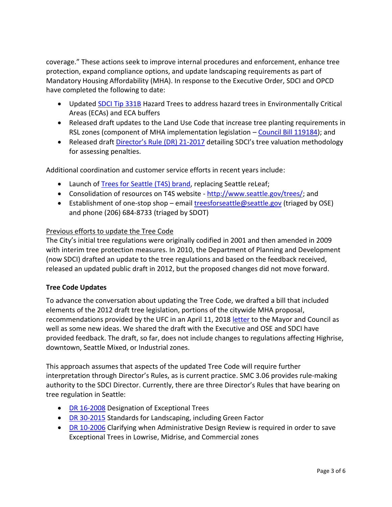coverage." These actions seek to improve internal procedures and enforcement, enhance tree protection, expand compliance options, and update landscaping requirements as part of Mandatory Housing Affordability (MHA). In response to the Executive Order, SDCI and OPCD have completed the following to date:

- Updated [SDCI Tip 331B](http://www.seattle.gov/DPD/Publications/CAM/cam331b.pdf) Hazard Trees to address hazard trees in Environmentally Critical Areas (ECAs) and ECA buffers
- Released draft updates to the Land Use Code that increase tree planting requirements in RSL zones (component of MHA implementation legislation – [Council Bill 119184\)](http://seattle.legistar.com/LegislationDetail.aspx?ID=3321079&GUID=A1FC3725-20F6-4A1C-ABD5-2B0C37BF5CC1); and
- Released draft Director's Rul[e \(DR\) 21-2017](http://www.seattle.gov/dpd/LUIB/AttachmentProjectID873512.7.17%20DDR2017-21.pdf) detailing SDCI's tree valuation methodology for assessing penalties.

Additional coordination and customer service efforts in recent years include:

- Launch of [Trees for Seattle \(T4S\) brand,](http://www.seattle.gov/trees/canopycover.htm) replacing Seattle reLeaf;
- Consolidation of resources on T4S website [http://www.seattle.gov/trees/;](http://www.seattle.gov/trees/) and
- Establishment of one-stop shop email [treesforseattle@seattle.gov](file://///cosfs01/leg/dept/central/CURRENT%20PROJECTS/Tree%20protection%20legislation/Memoranda/PLUZ/2018%200516/treesforseattle@seattle.gov%20) (triaged by OSE) and phone (206) 684-8733 (triaged by SDOT)

# Previous efforts to update the Tree Code

The City's initial tree regulations were originally codified in 2001 and then amended in 2009 with interim tree protection measures. In 2010, the Department of Planning and Development (now SDCI) drafted an update to the tree regulations and based on the feedback received, released an updated public draft in 2012, but the proposed changes did not move forward.

## **Tree Code Updates**

To advance the conversation about updating the Tree Code, we drafted a bill that included elements of the 2012 draft tree legislation, portions of the citywide MHA proposal, recommendations provided by the UFC in an April 11, 2018 [letter](http://www.seattle.gov/Documents/Departments/UrbanForestryCommission/FinalIssuedDocuments/Recommendations/ADOPTEDTreeRegsLetter041118Corrected.pdf) to the Mayor and Council as well as some new ideas. We shared the draft with the Executive and OSE and SDCI have provided feedback. The draft, so far, does not include changes to regulations affecting Highrise, downtown, Seattle Mixed, or Industrial zones.

This approach assumes that aspects of the updated Tree Code will require further interpretation through Director's Rules, as is current practice. SMC 3.06 provides rule-making authority to the SDCI Director. Currently, there are three Director's Rules that have bearing on tree regulation in Seattle:

- DR [16-2008](http://www.seattle.gov/dpd/codes/dr/DR2008-16x.pdf) Designation of Exceptional Trees
- DR [30-2015](http://www.seattle.gov/dpd/codes/dr/DR2015-30.pdf) Standards for Landscaping, including Green Factor
- DR [10-2006](http://www.seattle.gov/dpd/codes/dr/DR2006-10.pdf) Clarifying when Administrative Design Review is required in order to save Exceptional Trees in Lowrise, Midrise, and Commercial zones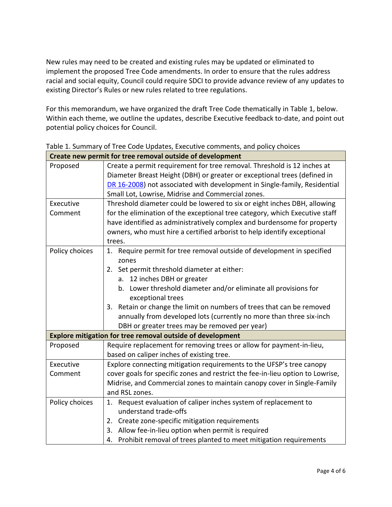New rules may need to be created and existing rules may be updated or eliminated to implement the proposed Tree Code amendments. In order to ensure that the rules address racial and social equity, Council could require SDCI to provide advance review of any updates to existing Director's Rules or new rules related to tree regulations.

For this memorandum, we have organized the draft Tree Code thematically in Table 1, below. Within each theme, we outline the updates, describe Executive feedback to-date, and point out potential policy choices for Council.

|                | Create new permit for tree removal outside of development                      |  |  |  |  |  |  |
|----------------|--------------------------------------------------------------------------------|--|--|--|--|--|--|
| Proposed       | Create a permit requirement for tree removal. Threshold is 12 inches at        |  |  |  |  |  |  |
|                | Diameter Breast Height (DBH) or greater or exceptional trees (defined in       |  |  |  |  |  |  |
|                | DR 16-2008) not associated with development in Single-family, Residential      |  |  |  |  |  |  |
|                | Small Lot, Lowrise, Midrise and Commercial zones.                              |  |  |  |  |  |  |
| Executive      | Threshold diameter could be lowered to six or eight inches DBH, allowing       |  |  |  |  |  |  |
| Comment        | for the elimination of the exceptional tree category, which Executive staff    |  |  |  |  |  |  |
|                | have identified as administratively complex and burdensome for property        |  |  |  |  |  |  |
|                | owners, who must hire a certified arborist to help identify exceptional        |  |  |  |  |  |  |
|                | trees.                                                                         |  |  |  |  |  |  |
| Policy choices | 1. Require permit for tree removal outside of development in specified         |  |  |  |  |  |  |
|                | zones                                                                          |  |  |  |  |  |  |
|                | 2. Set permit threshold diameter at either:                                    |  |  |  |  |  |  |
|                | a. 12 inches DBH or greater                                                    |  |  |  |  |  |  |
|                | b. Lower threshold diameter and/or eliminate all provisions for                |  |  |  |  |  |  |
|                | exceptional trees                                                              |  |  |  |  |  |  |
|                | Retain or change the limit on numbers of trees that can be removed<br>3.       |  |  |  |  |  |  |
|                | annually from developed lots (currently no more than three six-inch            |  |  |  |  |  |  |
|                | DBH or greater trees may be removed per year)                                  |  |  |  |  |  |  |
|                | Explore mitigation for tree removal outside of development                     |  |  |  |  |  |  |
| Proposed       | Require replacement for removing trees or allow for payment-in-lieu,           |  |  |  |  |  |  |
|                | based on caliper inches of existing tree.                                      |  |  |  |  |  |  |
| Executive      | Explore connecting mitigation requirements to the UFSP's tree canopy           |  |  |  |  |  |  |
| Comment        | cover goals for specific zones and restrict the fee-in-lieu option to Lowrise, |  |  |  |  |  |  |
|                | Midrise, and Commercial zones to maintain canopy cover in Single-Family        |  |  |  |  |  |  |
|                | and RSL zones.                                                                 |  |  |  |  |  |  |
| Policy choices | 1. Request evaluation of caliper inches system of replacement to               |  |  |  |  |  |  |
|                | understand trade-offs                                                          |  |  |  |  |  |  |
|                | 2. Create zone-specific mitigation requirements                                |  |  |  |  |  |  |
|                | Allow fee-in-lieu option when permit is required<br>3.                         |  |  |  |  |  |  |
|                | 4. Prohibit removal of trees planted to meet mitigation requirements           |  |  |  |  |  |  |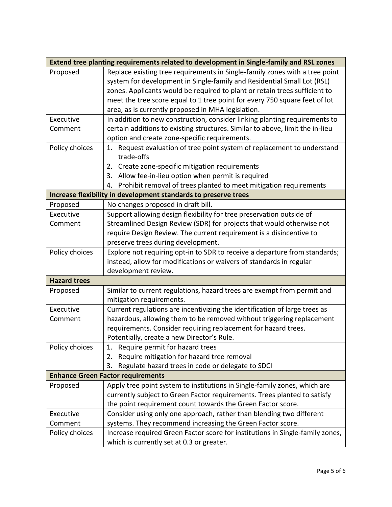| Extend tree planting requirements related to development in Single-family and RSL zones |                                                                               |  |  |  |  |  |
|-----------------------------------------------------------------------------------------|-------------------------------------------------------------------------------|--|--|--|--|--|
| Proposed                                                                                | Replace existing tree requirements in Single-family zones with a tree point   |  |  |  |  |  |
|                                                                                         | system for development in Single-family and Residential Small Lot (RSL)       |  |  |  |  |  |
|                                                                                         | zones. Applicants would be required to plant or retain trees sufficient to    |  |  |  |  |  |
|                                                                                         | meet the tree score equal to 1 tree point for every 750 square feet of lot    |  |  |  |  |  |
|                                                                                         | area, as is currently proposed in MHA legislation.                            |  |  |  |  |  |
| Executive                                                                               | In addition to new construction, consider linking planting requirements to    |  |  |  |  |  |
| Comment                                                                                 | certain additions to existing structures. Similar to above, limit the in-lieu |  |  |  |  |  |
|                                                                                         | option and create zone-specific requirements.                                 |  |  |  |  |  |
| Policy choices                                                                          | 1. Request evaluation of tree point system of replacement to understand       |  |  |  |  |  |
|                                                                                         | trade-offs                                                                    |  |  |  |  |  |
|                                                                                         | Create zone-specific mitigation requirements<br>2.                            |  |  |  |  |  |
|                                                                                         | Allow fee-in-lieu option when permit is required<br>3.                        |  |  |  |  |  |
|                                                                                         | Prohibit removal of trees planted to meet mitigation requirements<br>4.       |  |  |  |  |  |
|                                                                                         | Increase flexibility in development standards to preserve trees               |  |  |  |  |  |
| Proposed                                                                                | No changes proposed in draft bill.                                            |  |  |  |  |  |
| Executive                                                                               | Support allowing design flexibility for tree preservation outside of          |  |  |  |  |  |
| Comment                                                                                 | Streamlined Design Review (SDR) for projects that would otherwise not         |  |  |  |  |  |
|                                                                                         | require Design Review. The current requirement is a disincentive to           |  |  |  |  |  |
|                                                                                         | preserve trees during development.                                            |  |  |  |  |  |
| Policy choices                                                                          | Explore not requiring opt-in to SDR to receive a departure from standards;    |  |  |  |  |  |
|                                                                                         | instead, allow for modifications or waivers of standards in regular           |  |  |  |  |  |
|                                                                                         | development review.                                                           |  |  |  |  |  |
| <b>Hazard trees</b>                                                                     |                                                                               |  |  |  |  |  |
| Proposed                                                                                | Similar to current regulations, hazard trees are exempt from permit and       |  |  |  |  |  |
|                                                                                         | mitigation requirements.                                                      |  |  |  |  |  |
| Executive                                                                               | Current regulations are incentivizing the identification of large trees as    |  |  |  |  |  |
| Comment                                                                                 | hazardous, allowing them to be removed without triggering replacement         |  |  |  |  |  |
|                                                                                         | requirements. Consider requiring replacement for hazard trees.                |  |  |  |  |  |
|                                                                                         | Potentially, create a new Director's Rule.                                    |  |  |  |  |  |
| Policy choices                                                                          | Require permit for hazard trees<br>1.                                         |  |  |  |  |  |
|                                                                                         | Require mitigation for hazard tree removal<br>2.                              |  |  |  |  |  |
|                                                                                         | Regulate hazard trees in code or delegate to SDCI<br>3.                       |  |  |  |  |  |
|                                                                                         | <b>Enhance Green Factor requirements</b>                                      |  |  |  |  |  |
| Proposed                                                                                | Apply tree point system to institutions in Single-family zones, which are     |  |  |  |  |  |
|                                                                                         | currently subject to Green Factor requirements. Trees planted to satisfy      |  |  |  |  |  |
|                                                                                         | the point requirement count towards the Green Factor score.                   |  |  |  |  |  |
| Executive                                                                               | Consider using only one approach, rather than blending two different          |  |  |  |  |  |
| Comment                                                                                 | systems. They recommend increasing the Green Factor score.                    |  |  |  |  |  |
| Policy choices                                                                          | Increase required Green Factor score for institutions in Single-family zones, |  |  |  |  |  |
|                                                                                         | which is currently set at 0.3 or greater.                                     |  |  |  |  |  |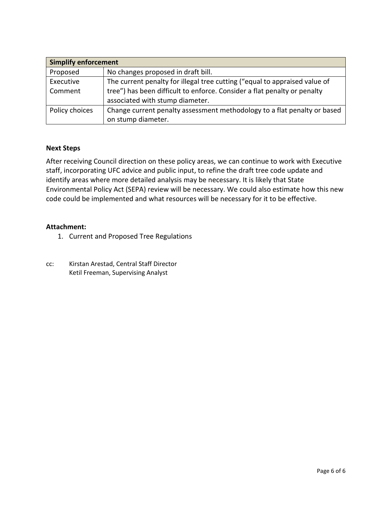| <b>Simplify enforcement</b> |                                                                            |  |  |  |  |
|-----------------------------|----------------------------------------------------------------------------|--|--|--|--|
| Proposed                    | No changes proposed in draft bill.                                         |  |  |  |  |
| Executive                   | The current penalty for illegal tree cutting ("equal to appraised value of |  |  |  |  |
| Comment                     | tree") has been difficult to enforce. Consider a flat penalty or penalty   |  |  |  |  |
|                             | associated with stump diameter.                                            |  |  |  |  |
| Policy choices              | Change current penalty assessment methodology to a flat penalty or based   |  |  |  |  |
|                             | on stump diameter.                                                         |  |  |  |  |

### **Next Steps**

After receiving Council direction on these policy areas, we can continue to work with Executive staff, incorporating UFC advice and public input, to refine the draft tree code update and identify areas where more detailed analysis may be necessary. It is likely that State Environmental Policy Act (SEPA) review will be necessary. We could also estimate how this new code could be implemented and what resources will be necessary for it to be effective.

### **Attachment:**

- 1. Current and Proposed Tree Regulations
- cc: Kirstan Arestad, Central Staff Director Ketil Freeman, Supervising Analyst